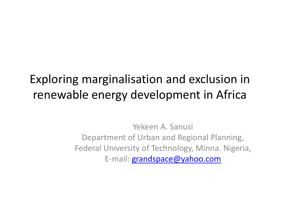### Exploring marginalisation and exclusion in renewable energy development in Africa

Yekeen A. Sanusi Department of Urban and Regional Planning, Federal University of Technology, Minna. Nigeria, E-mail: **[grandspace@yahoo.com](mailto:grandspace@yahoo.com)**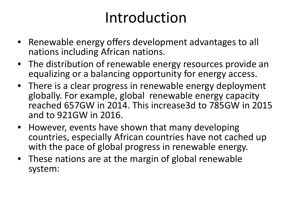## Introduction

- Renewable energy offers development advantages to all nations including African nations.
- The distribution of renewable energy resources provide an equalizing or a balancing opportunity for energy access.
- There is a clear progress in renewable energy deployment globally. For example, global renewable energy capacity reached 657GW in 2014. This increase3d to 785GW in 2015 and to 921GW in 2016.
- However, events have shown that many developing countries, especially African countries have not cached up with the pace of global progress in renewable energy.
- These nations are at the margin of global renewable system: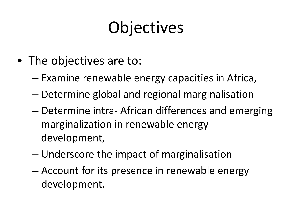# **Objectives**

- The objectives are to:
	- Examine renewable energy capacities in Africa,
	- Determine global and regional marginalisation
	- Determine intra- African differences and emerging marginalization in renewable energy development,
	- Underscore the impact of marginalisation
	- Account for its presence in renewable energy development.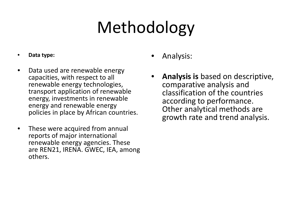# Methodology

#### • **Data type:**

- Data used are renewable energy capacities, with respect to all renewable energy technologies, transport application of renewable energy, investments in renewable energy and renewable energy policies in place by African countries.
- These were acquired from annual reports of major international renewable energy agencies. These are REN21, IRENA. GWEC, IEA, among others.
- Analysis:
- **Analysis is** based on descriptive, comparative analysis and classification of the countries according to performance. Other analytical methods are growth rate and trend analysis.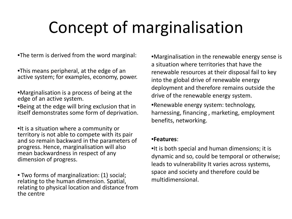## Concept of marginalisation

•The term is derived from the word marginal:

•This means peripheral, at the edge of an active system; for examples, economy, power.

•Marginalisation is a process of being at the edge of an active system.

•Being at the edge will bring exclusion that in itself demonstrates some form of deprivation.

•It is a situation where a community or territory is not able to compete with its pair and so remain backward in the parameters of progress. Hence, marginalisation will also mean backwardness in respect of any dimension of progress.

• Two forms of marginalization: (1) social; relating to the human dimension. Spatial, relating to physical location and distance from the centre

•Marginalisation in the renewable energy sense is a situation where territories that have the renewable resources at their disposal fail to key into the global drive of renewable energy deployment and therefore remains outside the drive of the renewable energy system.

•Renewable energy system: technology, harnessing, financing , marketing, employment benefits, networking.

#### •**Features**:

•It is both special and human dimensions; it is dynamic and so, could be temporal or otherwise; leads to vulnerability It varies across systems, space and society and therefore could be multidimensional.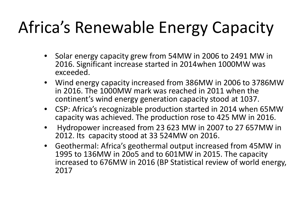# Africa's Renewable Energy Capacity

- Solar energy capacity grew from 54MW in 2006 to 2491 MW in 2016. Significant increase started in 2014when 1000MW was exceeded.
- Wind energy capacity increased from 386MW in 2006 to 3786MW in 2016. The 1000MW mark was reached in 2011 when the continent's wind energy generation capacity stood at 1037.
- CSP: Africa's recognizable production started in 2014 when 65MW capacity was achieved. The production rose to 425 MW in 2016.
- Hydropower increased from 23 623 MW in 2007 to 27 657MW in 2012. Its capacity stood at 33 524MW on 2016.
- Geothermal: Africa's geothermal output increased from 45MW in 1995 to 136MW in 20o5 and to 601MW in 2015. The capacity increased to 676MW in 2016 (BP Statistical review of world energy, 2017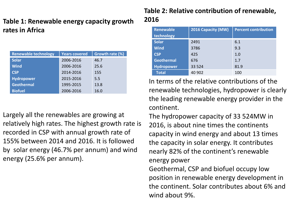### **Table 1: Renewable energy capacity growth rates in Africa**

| <b>Renewable technology</b> | <b>Years covered</b> | Growth rate (%) |
|-----------------------------|----------------------|-----------------|
| <b>Solar</b>                | 2006-2016            | 46.7            |
| <b>Wind</b>                 | 2006-2016            | 25.6            |
| <b>CSP</b>                  | 2014-2016            | 155             |
| <b>Hydropower</b>           | 2015-2016            | 5.5             |
| <b>Geothermal</b>           | 1995-2015            | 13.8            |
| <b>Biofuel</b>              | 2006-2016            | 16.0            |

Largely all the renewables are growing at relatively high rates. The highest growth rate is recorded in CSP with annual growth rate of 155% between 2014 and 2016. It is followed by solar energy (46.7% per annum) and wind energy (25.6% per annum).

### **Table 2: Relative contribution of renewable, 2016**

| <b>Renewable</b>  | 2016 Capacity (MW) | <b>Percent contribution</b> |  |  |
|-------------------|--------------------|-----------------------------|--|--|
| technology        |                    |                             |  |  |
| <b>Solar</b>      | 2491               | 6.1                         |  |  |
| <b>Wind</b>       | 3786               | 9.3                         |  |  |
| <b>CSP</b>        | 425                | 1.0                         |  |  |
| <b>Geothermal</b> | 676                | 1.7                         |  |  |
| <b>Hydropower</b> | 33 5 24            | 81.9                        |  |  |
| <b>Total</b>      | 40 902             | 100                         |  |  |

In terms of the relative contributions of the renewable technologies, hydropower is clearly the leading renewable energy provider in the continent.

The hydropower capacity of 33 524MW in 2016, is about nine times the continents capacity in wind energy and about 13 times the capacity in solar energy. It contributes nearly 82% of the continent's renewable energy power

Geothermal, CSP and biofuel occupy low position in renewable energy development in the continent. Solar contributes about 6% and wind about 9%.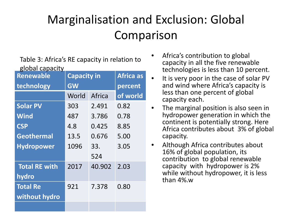### Marginalisation and Exclusion: Global Comparison

Table 3: Africa's RE capacity in relation to global capacity

| <b>Renewable</b>     | <b>Capacity in</b> | <b>Africa as</b> |          |
|----------------------|--------------------|------------------|----------|
| technology           | <b>GW</b>          | percent          |          |
|                      | World              | Africa           | of world |
| <b>Solar PV</b>      | 303                | 2.491            | 0.82     |
| <b>Wind</b>          | 487                | 3.786            | 0.78     |
| <b>CSP</b>           | 4.8<br>0.425       |                  | 8.85     |
| <b>Geothermal</b>    | 13.5<br>0.676      |                  | 5.00     |
| <b>Hydropower</b>    | 1096<br>33.        |                  | 3.05     |
|                      |                    | 524              |          |
| <b>Total RE with</b> | 2017               | 40.902           | 2.03     |
| hydro                |                    |                  |          |
| <b>Total Re</b>      | 921                | 7.378            | 0.80     |
| without hydro        |                    |                  |          |
|                      |                    |                  |          |

- Africa's contribution to global capacity in all the five renewable technologies is less than 10 percent.
- It is very poor in the case of solar PV and wind where Africa's capacity is less than one percent of global capacity each.
- The marginal position is also seen in hydropower generation in which the continent is potentially strong. Here Africa contributes about 3% of global capacity.
- Although Africa contributes about 16% of global population, its contribution to global renewable capacity with hydropower is 2% while without hydropower, it is less than 4%.w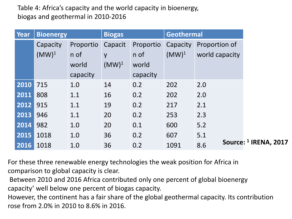### Table 4: Africa's capacity and the world capacity in bioenergy, biogas and geothermal in 2010-2016

| <b>Year</b> | <b>Bioenergy</b> |           | <b>Biogas</b> |           | <b>Geothermal</b> |                                         |
|-------------|------------------|-----------|---------------|-----------|-------------------|-----------------------------------------|
|             | Capacity         | Proportio | Capacit       | Proportio | Capacity          | Proportion of                           |
|             | $(MW)^1$         | n of      | y             | n of      | $(MW)^1$          | world capacity                          |
|             |                  | world     | $(MW)^1$      | world     |                   |                                         |
|             |                  | capacity  |               | capacity  |                   |                                         |
| 2010        | 715              | 1.0       | 14            | 0.2       | 202               | 2.0                                     |
| 2011        | 808              | 1.1       | 16            | 0.2       | 202               | 2.0                                     |
| 2012        | 915              | 1.1       | 19            | 0.2       | 217               | 2.1                                     |
| 2013        | 946              | 1.1       | 20            | 0.2       | 253               | 2.3                                     |
| 2014        | 982              | 1.0       | 20            | 0.1       | 600               | 5.2                                     |
| 2015        | 1018             | 1.0       | 36            | 0.2       | 607               | 5.1                                     |
| 2016        | 1018             | 1.0       | 36            | 0.2       | 1091              | Source: <sup>1</sup> IRENA, 2017<br>8.6 |

For these three renewable energy technologies the weak position for Africa in comparison to global capacity is clear.

Between 2010 and 2016 Africa contributed only one percent of global bioenergy capacity' well below one percent of biogas capacity.

However, the continent has a fair share of the global geothermal capacity. Its contribution rose from 2.0% in 2010 to 8.6% in 2016.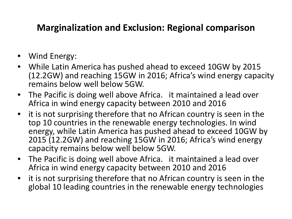### **Marginalization and Exclusion: Regional comparison**

- Wind Energy:
- While Latin America has pushed ahead to exceed 10GW by 2015 (12.2GW) and reaching 15GW in 2016; Africa's wind energy capacity remains below well below 5GW.
- The Pacific is doing well above Africa. it maintained a lead over Africa in wind energy capacity between 2010 and 2016
- it is not surprising therefore that no African country is seen in the top 10 countries in the renewable energy technologies. In wind energy, while Latin America has pushed ahead to exceed 10GW by 2015 (12.2GW) and reaching 15GW in 2016; Africa's wind energy capacity remains below well below 5GW.
- The Pacific is doing well above Africa. it maintained a lead over Africa in wind energy capacity between 2010 and 2016
- it is not surprising therefore that no African country is seen in the global 10 leading countries in the renewable energy technologies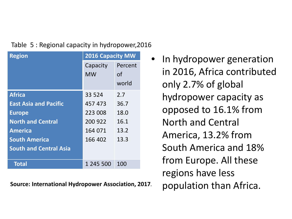### Table 5 : Regional capacity in hydropower,2016

| <b>Region</b>                 | <b>2016 Capacity MW</b> |         |  |  |
|-------------------------------|-------------------------|---------|--|--|
|                               | Capacity                | Percent |  |  |
|                               | <b>MW</b>               | of      |  |  |
|                               |                         | world   |  |  |
| <b>Africa</b>                 | 33 5 24                 | 2.7     |  |  |
| <b>East Asia and Pacific</b>  | 457 473                 | 36.7    |  |  |
| <b>Europe</b>                 | 223 008                 | 18.0    |  |  |
| <b>North and Central</b>      | 200 922                 | 16.1    |  |  |
| <b>America</b>                | 164 071                 | 13.2    |  |  |
| <b>South America</b>          | 166 402                 | 13.3    |  |  |
| <b>South and Central Asia</b> |                         |         |  |  |
| Total                         | 1 245 500               | 100     |  |  |

Source: International Hydropower Association, 2017. population than Africa.

• In hydropower generation in 2016, Africa contributed only 2.7% of global hydropower capacity as opposed to 16.1% from North and Central America, 13.2% from South America and 18% from Europe. All these regions have less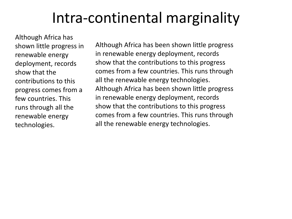## Intra-continental marginality

Although Africa has shown little progress in renewable energy deployment, records show that the contributions to this progress comes from a few countries. This runs through all the renewable energy technologies.

Although Africa has been shown little progress in renewable energy deployment, records show that the contributions to this progress comes from a few countries. This runs through all the renewable energy technologies. Although Africa has been shown little progress in renewable energy deployment, records show that the contributions to this progress comes from a few countries. This runs through all the renewable energy technologies.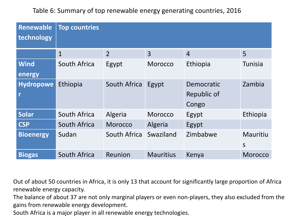Table 6: Summary of top renewable energy generating countries, 2016

| <b>Renewable</b><br>technology | <b>Top countries</b> |                |                       |                |                |  |  |  |
|--------------------------------|----------------------|----------------|-----------------------|----------------|----------------|--|--|--|
|                                | $\mathbf{1}$         | $\overline{2}$ | $\overline{3}$        | $\overline{4}$ | 5              |  |  |  |
| <b>Wind</b>                    | South Africa         | Egypt          | <b>Morocco</b>        | Ethiopia       | <b>Tunisia</b> |  |  |  |
| energy                         |                      |                |                       |                |                |  |  |  |
| <b>Hydropowe</b>               | Ethiopia             | South Africa   | Egypt                 | Democratic     | Zambia         |  |  |  |
|                                |                      |                |                       | Republic of    |                |  |  |  |
|                                |                      |                |                       | Congo          |                |  |  |  |
| <b>Solar</b>                   | South Africa         | Algeria        | <b>Morocco</b>        | Egypt          | Ethiopia       |  |  |  |
| <b>CSP</b>                     | South Africa         | <b>Morocco</b> | Algeria               | Egypt          |                |  |  |  |
| <b>Bioenergy</b>               | Sudan                | South Africa   | Zimbabwe<br>Swaziland |                | Mauritiu       |  |  |  |
|                                |                      |                |                       |                | $\mathsf{S}$   |  |  |  |
| <b>Biogas</b>                  | South Africa         | Reunion        | <b>Mauritius</b>      | Kenya          | <b>Morocco</b> |  |  |  |

Out of about 50 countries in Africa, it is only 13 that account for significantly large proportion of Africa renewable energy capacity.

The balance of about 37 are not only marginal players or even non-players, they also excluded from the gains from renewable energy development.

South Africa is a major player in all renewable energy technologies.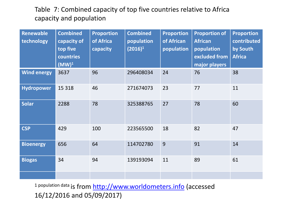### Table 7: Combined capacity of top five countries relative to Africa capacity and population

| <b>Renewable</b><br>technology | <b>Combined</b><br>capacity of<br>top five<br>countries<br>$(MW)^1$ | <b>Proportion</b><br>of Africa<br>capacity | <b>Combined</b><br>population<br>$(2016)^1$ | <b>Proportion</b><br>of African<br>population | <b>Proportion of</b><br><b>African</b><br>population<br>excluded from<br>major players | <b>Proportion</b><br>contributed<br>by South<br><b>Africa</b> |
|--------------------------------|---------------------------------------------------------------------|--------------------------------------------|---------------------------------------------|-----------------------------------------------|----------------------------------------------------------------------------------------|---------------------------------------------------------------|
| <b>Wind energy</b>             | 3637                                                                | 96                                         | 296408034                                   | 24                                            | 76                                                                                     | 38                                                            |
| Hydropower                     | 15 3 18                                                             | 46                                         | 271674073                                   | 23                                            | 77                                                                                     | 11                                                            |
| <b>Solar</b>                   | 2288                                                                | 78                                         | 325388765                                   | 27                                            | 78                                                                                     | 60                                                            |
| <b>CSP</b>                     | 429                                                                 | 100                                        | 223565500                                   | 18                                            | 82                                                                                     | 47                                                            |
| <b>Bioenergy</b>               | 656                                                                 | 64                                         | 114702780                                   | 9                                             | 91                                                                                     | 14                                                            |
| <b>Biogas</b>                  | 34                                                                  | 94                                         | 139193094                                   | 11                                            | 89                                                                                     | 61                                                            |
|                                |                                                                     |                                            |                                             |                                               |                                                                                        |                                                               |

1 population data is from [http://www.worldometers.info](http://www.worldometers.info/) (accessed 16/12/2016 and 05/09/2017)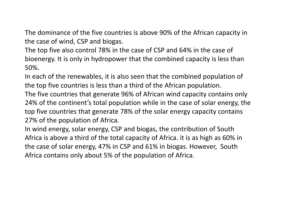The dominance of the five countries is above 90% of the African capacity in the case of wind, CSP and biogas.

The top five also control 78% in the case of CSP and 64% in the case of bioenergy. It is only in hydropower that the combined capacity is less than 50%.

In each of the renewables, it is also seen that the combined population of the top five countries is less than a third of the African population.

The five countries that generate 96% of African wind capacity contains only 24% of the continent's total population while in the case of solar energy, the top five countries that generate 78% of the solar energy capacity contains 27% of the population of Africa.

In wind energy, solar energy, CSP and biogas, the contribution of South Africa is above a third of the total capacity of Africa. it is as high as 60% in the case of solar energy, 47% in CSP and 61% in biogas. However, South Africa contains only about 5% of the population of Africa.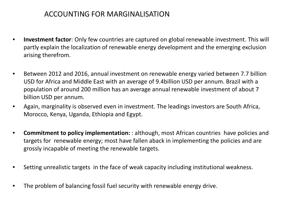### ACCOUNTING FOR MARGINALISATION

- **Investment factor**: Only few countries are captured on global renewable investment. This will partly explain the localization of renewable energy development and the emerging exclusion arising therefrom.
- Between 2012 and 2016, annual investment on renewable energy varied between 7.7 billion USD for Africa and Middle East with an average of 9.4billion USD per annum. Brazil with a population of around 200 million has an average annual renewable investment of about 7 billion USD per annum.
- Again, marginality is observed even in investment. The leadings investors are South Africa, Morocco, Kenya, Uganda, Ethiopia and Egypt.
- **Commitment to policy implementation:** : although, most African countries have policies and targets for renewable energy; most have fallen aback in implementing the policies and are grossly incapable of meeting the renewable targets.
- Setting unrealistic targets in the face of weak capacity including institutional weakness.
- The problem of balancing fossil fuel security with renewable energy drive.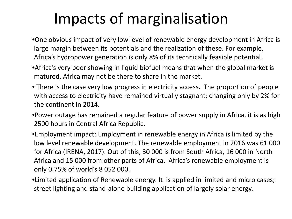## Impacts of marginalisation

- •One obvious impact of very low level of renewable energy development in Africa is large margin between its potentials and the realization of these. For example, Africa's hydropower generation is only 8% of its technically feasible potential.
- •Africa's very poor showing in liquid biofuel means that when the global market is matured, Africa may not be there to share in the market.
- There is the case very low progress in electricity access. The proportion of people with access to electricity have remained virtually stagnant; changing only by 2% for the continent in 2014.
- •Power outage has remained a regular feature of power supply in Africa. it is as high 2500 hours in Central Africa Republic.
- •Employment impact: Employment in renewable energy in Africa is limited by the low level renewable development. The renewable employment in 2016 was 61 000 for Africa (IRENA, 2017). Out of this, 30 000 is from South Africa, 16 000 in North Africa and 15 000 from other parts of Africa. Africa's renewable employment is only 0.75% of world's 8 052 000.
- •Limited application of Renewable energy. It is applied in limited and micro cases; street lighting and stand-alone building application of largely solar energy.